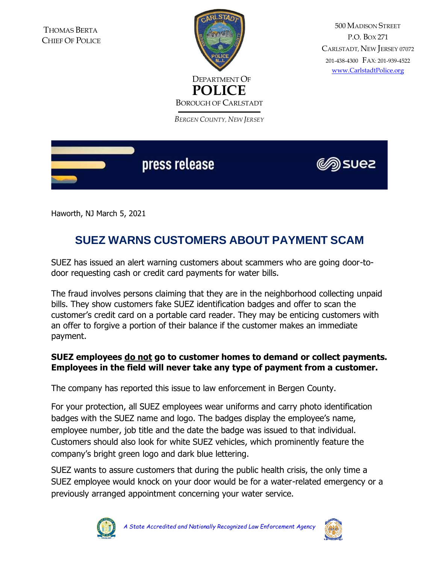

500 MADISON STREET P.O. BOX 271 CARLSTADT, NEW JERSEY <sup>07072</sup> 201-438-4300 FAX: 201-939-4522 [www.CarlstadtPolice.org](http://www.carlstadtpolice.org/)

*BERGEN COUNTY, NEW JERSEY*



Haworth, NJ March 5, 2021

## **SUEZ WARNS CUSTOMERS ABOUT PAYMENT SCAM**

SUEZ has issued an alert warning customers about scammers who are going door-todoor requesting cash or credit card payments for water bills.

The fraud involves persons claiming that they are in the neighborhood collecting unpaid bills. They show customers fake SUEZ identification badges and offer to scan the customer's credit card on a portable card reader. They may be enticing customers with an offer to forgive a portion of their balance if the customer makes an immediate payment.

## **SUEZ employees do not go to customer homes to demand or collect payments. Employees in the field will never take any type of payment from a customer.**

The company has reported this issue to law enforcement in Bergen County.

For your protection, all SUEZ employees wear uniforms and carry photo identification badges with the SUEZ name and logo. The badges display the employee's name, employee number, job title and the date the badge was issued to that individual. Customers should also look for white SUEZ vehicles, which prominently feature the company's bright green logo and dark blue lettering.

SUEZ wants to assure customers that during the public health crisis, the only time a SUEZ employee would knock on your door would be for a water-related emergency or a previously arranged appointment concerning your water service.